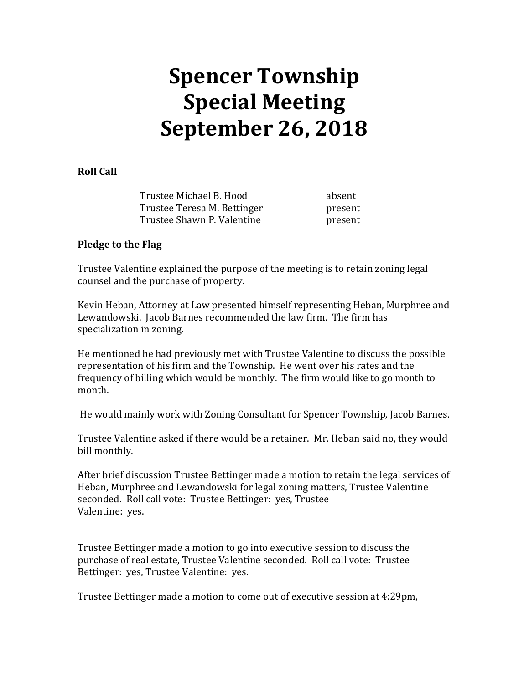## **Spencer Township Special Meeting September 26, 2018**

## **Roll Call**

Trustee Michael B. Hood absent Trustee Teresa M. Bettinger **present** Trustee Shawn P. Valentine **present** 

## **Pledge to the Flag**

Trustee Valentine explained the purpose of the meeting is to retain zoning legal counsel and the purchase of property.

Kevin Heban, Attorney at Law presented himself representing Heban, Murphree and Lewandowski. Jacob Barnes recommended the law firm. The firm has specialization in zoning.

He mentioned he had previously met with Trustee Valentine to discuss the possible representation of his firm and the Township. He went over his rates and the frequency of billing which would be monthly. The firm would like to go month to month.

He would mainly work with Zoning Consultant for Spencer Township, Jacob Barnes.

Trustee Valentine asked if there would be a retainer. Mr. Heban said no, they would bill monthly.

After brief discussion Trustee Bettinger made a motion to retain the legal services of Heban, Murphree and Lewandowski for legal zoning matters, Trustee Valentine seconded. Roll call vote: Trustee Bettinger: yes, Trustee Valentine: yes.

Trustee Bettinger made a motion to go into executive session to discuss the purchase of real estate, Trustee Valentine seconded. Roll call vote: Trustee Bettinger: yes, Trustee Valentine: yes.

Trustee Bettinger made a motion to come out of executive session at 4:29pm,